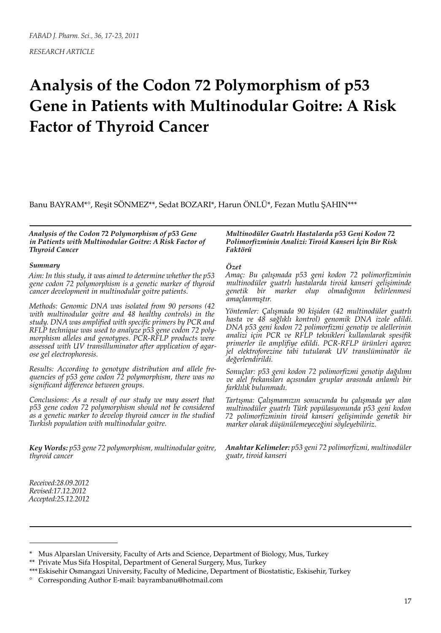*RESEARCH ARTICLE*

# **Analysis of the Codon 72 Polymorphism of p53 Gene in Patients with Multinodular Goitre: A Risk Factor of Thyroid Cancer**

Banu BAYRAM\*°, Reşit SÖNMEZ\*\*, Sedat BOZARI\*, Harun ÖNLÜ\*, Fezan Mutlu ŞAHIN\*\*\*

*Analysis of the Codon 72 Polymorphism of p53 Gene in Patients with Multinodular Goitre: A Risk Factor of Thyroid Cancer*

#### *Summary*

*Aim: In this study, it was aimed to determine whether the p53 gene codon 72 polymorphism is a genetic marker of thyroid cancer development in multinodular goitre patients.* 

*Methods: Genomic DNA was isolated from 90 persons (42 with multinodular goitre and 48 healthy controls) in the study. DNA was amplified with specific primers by PCR and RFLP technique was used to analyze p53 gene codon 72 polymorphism alleles and genotypes. PCR-RFLP products were assessed with UV transilluminator after application of agarose gel electrophoresis.* 

*Results: According to genotype distribution and allele frequencies of p53 gene codon 72 polymorphism, there was no significant difference between groups.* 

*Conclusions: As a result of our study we may assert that p53 gene codon 72 polymorphism should not be considered as a genetic marker to develop thyroid cancer in the studied Turkish population with multinodular goitre.* 

*Key Words: p53 gene 72 polymorphism, multinodular goitre, thyroid cancer*

*Multinodüler Guatrlı Hastalarda p53 Geni Kodon 72 Polimorfizminin Analizi: Tiroid Kanseri İçin Bir Risk Faktörü*

#### *Özet*

*Amaç: Bu çalışmada p53 geni kodon 72 polimorfizminin multinodüler guatrlı hastalarda tiroid kanseri gelişiminde genetik bir marker olup olmadığının belirlenmesi amaçlanmıştır.* 

*Yöntemler: Çalışmada 90 kişiden (42 multinodüler guatrlı hasta ve 48 sağlıklı kontrol) genomik DNA izole edildi. DNA p53 geni kodon 72 polimorfizmi genotip ve alellerinin analizi için PCR ve RFLP teknikleri kullanılarak spesifik primerler ile amplifiye edildi. PCR-RFLP ürünleri agaroz jel elektroforezine tabi tutularak UV translüminatör ile değerlendirildi.*

*Sonuçlar: p53 geni kodon 72 polimorfizmi genotip dağılımı ve alel frekansları açısından gruplar arasında anlamlı bir farklılık bulunmadı.*

*Tartışma: Çalışmamızın sonucunda bu çalışmada yer alan multinodüler guatrlı Türk popülasyonunda p53 geni kodon 72 polimorfizminin tiroid kanseri gelişiminde genetik bir marker olarak düşünülemeyeceğini söyleyebiliriz.*

*Anahtar Kelimeler: p53 geni 72 polimorfizmi, multinodüler guatr, tiroid kanseri*

*Received:28.09.2012 Revised:17.12.2012 Accepted:25.12.2012*

<sup>\*</sup> Mus Alparslan University, Faculty of Arts and Science, Department of Biology, Mus, Turkey

<sup>\*\*</sup> Private Mus Sifa Hospital, Department of General Surgery, Mus, Turkey

<sup>\*\*\*</sup>Eskisehir Osmangazi University, Faculty of Medicine, Department of Biostatistic, Eskisehir, Turkey

<sup>°</sup> Corresponding Author E-mail: bayrambanu@hotmail.com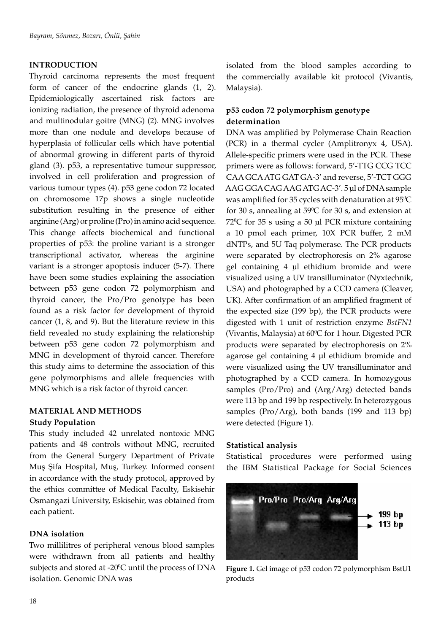## **INTRODUCTION**

Thyroid carcinoma represents the most frequent form of cancer of the endocrine glands (1, 2). Epidemiologically ascertained risk factors are ionizing radiation, the presence of thyroid adenoma and multinodular goitre (MNG) (2). MNG involves more than one nodule and develops because of hyperplasia of follicular cells which have potential of abnormal growing in different parts of thyroid gland (3). p53, a representative tumour suppressor, involved in cell proliferation and progression of various tumour types (4). p53 gene codon 72 located on chromosome 17p shows a single nucleotide substitution resulting in the presence of either arginine (Arg) or proline (Pro) in amino acid sequence. This change affects biochemical and functional properties of p53: the proline variant is a stronger transcriptional activator, whereas the arginine variant is a stronger apoptosis inducer (5-7). There have been some studies explaining the association between p53 gene codon 72 polymorphism and thyroid cancer, the Pro/Pro genotype has been found as a risk factor for development of thyroid cancer (1, 8, and 9). But the literature review in this field revealed no study explaining the relationship between p53 gene codon 72 polymorphism and MNG in development of thyroid cancer. Therefore this study aims to determine the association of this gene polymorphisms and allele frequencies with MNG which is a risk factor of thyroid cancer.

## **MATERIAL AND METHODS**

## **Study Population**

This study included 42 unrelated nontoxic MNG patients and 48 controls without MNG, recruited from the General Surgery Department of Private Muş Şifa Hospital, Muş, Turkey. Informed consent in accordance with the study protocol, approved by the ethics committee of Medical Faculty, Eskisehir Osmangazi University, Eskisehir, was obtained from each patient.

## **DNA isolation**

Two millilitres of peripheral venous blood samples were withdrawn from all patients and healthy subjects and stored at -20 $\rm ^{o}C$  until the process of DNA isolation. Genomic DNA was

isolated from the blood samples according to the commercially available kit protocol (Vivantis, Malaysia).

# **p53 codon 72 polymorphism genotype determination**

DNA was amplified by Polymerase Chain Reaction (PCR) in a thermal cycler (Amplitronyx 4, USA). Allele-specific primers were used in the PCR. These primers were as follows: forward, 5'-TTG CCG TCC CAA GCA ATG GAT GA-3' and reverse, 5'-TCT GGG AAG GGA CAG AAG ATG AC-3'. 5 µl of DNA sample was amplified for 35 cycles with denaturation at  $95^{\circ}\textrm{C}$ for 30 s, annealing at  $59^{\circ}$ C for 30 s, and extension at 72<sup>o</sup>C for 35 s using a 50 µl PCR mixture containing a 10 pmol each primer, 10X PCR buffer, 2 mM dNTPs, and 5U Taq polymerase. The PCR products were separated by electrophoresis on 2% agarose gel containing 4 µl ethidium bromide and were visualized using a UV transilluminator (Nyxtechnik, USA) and photographed by a CCD camera (Cleaver, UK). After confirmation of an amplified fragment of the expected size (199 bp), the PCR products were digested with 1 unit of restriction enzyme *BstFN1* (Vivantis, Malaysia) at  $60^{\circ}$ C for 1 hour. Digested PCR products were separated by electrophoresis on 2% agarose gel containing 4 µl ethidium bromide and were visualized using the UV transilluminator and photographed by a CCD camera. In homozygous samples (Pro/Pro) and (Arg/Arg) detected bands were 113 bp and 199 bp respectively. In heterozygous samples (Pro/Arg), both bands (199 and 113 bp) were detected (Figure 1).

#### **Statistical analysis**

Statistical procedures were performed using the IBM Statistical Package for Social Sciences



**Figure 1.** Gel image of p53 codon 72 polymorphism BstU1 products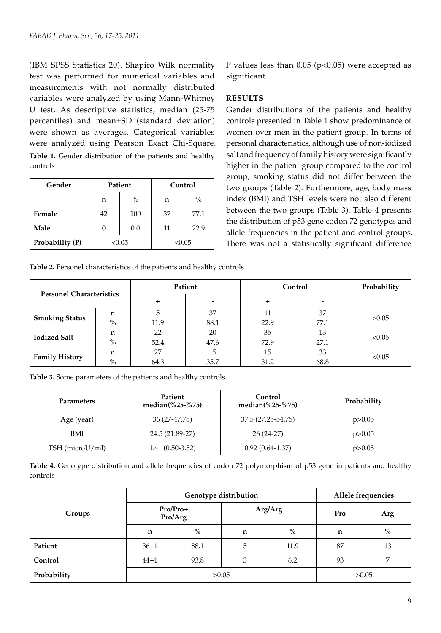(IBM SPSS Statistics 20). Shapiro Wilk normality test was performed for numerical variables and measurements with not normally distributed variables were analyzed by using Mann-Whitney U test. As descriptive statistics, median (25-75 percentiles) and mean±SD (standard deviation) were shown as averages. Categorical variables were analyzed using Pearson Exact Chi-Square. **Table 1.** Gender distribution of the patients and healthy controls

| Gender          | Patient   |     | Control |        |  |
|-----------------|-----------|-----|---------|--------|--|
|                 | $\%$<br>n |     | n       | $\%$   |  |
| Female          | 42        | 100 | 37      | 77.1   |  |
| Male            | 0         | 0.0 | 11      | 22.9   |  |
| Probability (P) | < 0.05    |     |         | < 0.05 |  |

P values less than  $0.05$  (p<0.05) were accepted as significant.

## **RESULTS**

Gender distributions of the patients and healthy controls presented in Table 1 show predominance of women over men in the patient group. In terms of personal characteristics, although use of non-iodized salt and frequency of family history were significantly higher in the patient group compared to the control group, smoking status did not differ between the two groups (Table 2). Furthermore, age, body mass index (BMI) and TSH levels were not also different between the two groups (Table 3). Table 4 presents the distribution of p53 gene codon 72 genotypes and allele frequencies in the patient and control groups. There was not a statistically significant difference

|  | Table 2. Personel characteristics of the patients and healthy controls |
|--|------------------------------------------------------------------------|
|  |                                                                        |

| <b>Personel Characteristics</b> |               | Patient |      | Control   | Probability |        |
|---------------------------------|---------------|---------|------|-----------|-------------|--------|
|                                 |               | ٠       |      | $\ddot{}$ |             |        |
| <b>Smoking Status</b>           | n             | 5       | 37   | 11        | 37          |        |
|                                 | $\frac{0}{0}$ | 11.9    | 88.1 | 22.9      | 77.1        | >0.05  |
| <b>Iodized Salt</b>             | n             | 22      | 20   | 35        | 13          |        |
|                                 | $\%$          | 52.4    | 47.6 | 72.9      | 27.1        | < 0.05 |
| <b>Family History</b>           | n             | 27      | 15   | 15        | 33          | < 0.05 |
|                                 | $\%$          | 64.3    | 35.7 | 31.2      | 68.8        |        |

**Table 3.** Some parameters of the patients and healthy controls

| <b>Parameters</b> | Patient<br>median $(\frac{625-675}{61})$ |                    | Probability |  |
|-------------------|------------------------------------------|--------------------|-------------|--|
| Age (year)        | 36 (27-47.75)                            | 37.5 (27.25-54.75) | p > 0.05    |  |
| <b>BMI</b>        | 24.5 (21.89-27)                          | $26(24-27)$        | p > 0.05    |  |
| TSH (microU/ml)   | $1.41(0.50-3.52)$                        | $0.92(0.64-1.37)$  | p > 0.05    |  |

**Table 4.** Genotype distribution and allele frequencies of codon 72 polymorphism of p53 gene in patients and healthy controls

|             |                     | Genotype distribution | Allele frequencies |         |     |      |
|-------------|---------------------|-----------------------|--------------------|---------|-----|------|
| Groups      | Pro/Pro+<br>Pro/Arg |                       |                    | Arg/Arg | Pro | Arg  |
|             | n                   | $\%$                  | n                  | $\%$    | n   | $\%$ |
| Patient     | $36 + 1$            | 88.1                  | 5                  | 11.9    | 87  | 13   |
| Control     | $44 + 1$            | 93.8                  | 3                  | 6.2     | 93  | 7    |
| Probability |                     | >0.05                 |                    | >0.05   |     |      |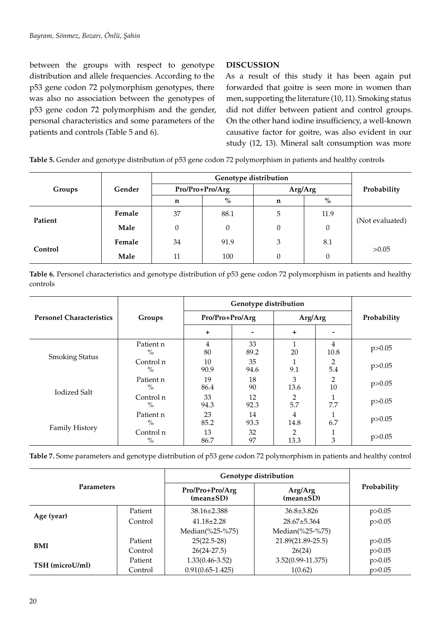between the groups with respect to genotype distribution and allele frequencies. According to the p53 gene codon 72 polymorphism genotypes, there was also no association between the genotypes of p53 gene codon 72 polymorphism and the gender, personal characteristics and some parameters of the patients and controls (Table 5 and 6).

# **DISCUSSION**

As a result of this study it has been again put forwarded that goitre is seen more in women than men, supporting the literature (10, 11). Smoking status did not differ between patient and control groups. On the other hand iodine insufficiency, a well-known causative factor for goitre, was also evident in our study (12, 13). Mineral salt consumption was more

**Table 5.** Gender and genotype distribution of p53 gene codon 72 polymorphism in patients and healthy controls

| Groups  | Gender |          | Pro/Pro+Pro/Arg | Arg/Arg  | Probability      |                 |
|---------|--------|----------|-----------------|----------|------------------|-----------------|
|         |        | n        | $\%$            | n        | $\%$             |                 |
| Patient | Female | 37       | 88.1            | 5        | 11.9             | (Not evaluated) |
|         | Male   | $\Omega$ | 0               | $\theta$ | $\boldsymbol{0}$ |                 |
| Control | Female | 34       | 91.9            | 3        | 8.1              |                 |
|         | Male   | 11       | 100             | $\theta$ | $\theta$         | >0.05           |

**Table 6.** Personel characteristics and genotype distribution of p53 gene codon 72 polymorphism in patients and healthy controls

|                                 |                            | Genotype distribution |            |                        |                     |             |  |
|---------------------------------|----------------------------|-----------------------|------------|------------------------|---------------------|-------------|--|
| <b>Personel Characteristics</b> | Groups                     | Pro/Pro+Pro/Arg       |            | Arg/Arg                |                     | Probability |  |
|                                 |                            | $\pm$                 |            | $\ddot{}$              |                     |             |  |
|                                 | Patient n<br>$\frac{0}{0}$ | 4<br>80               | 33<br>89.2 | 20                     | 4<br>10.8           | p > 0.05    |  |
| <b>Smoking Status</b>           | Control n<br>$\frac{0}{0}$ | 10<br>90.9            | 35<br>94.6 | 9.1                    | 2<br>5.4            | p > 0.05    |  |
| <b>Iodized Salt</b>             | Patient n<br>$\%$          | 19<br>86.4            | 18<br>90   | 3<br>13.6              | $\mathcal{P}$<br>10 | p > 0.05    |  |
|                                 | Control n<br>$\%$          | 33<br>94.3            | 12<br>92.3 | 5.7                    | 7.7                 | p > 0.05    |  |
| <b>Family History</b>           | Patient n<br>$\%$          | 23<br>85.2            | 14<br>93.3 | 4<br>14.8              | 6.7                 | p > 0.05    |  |
|                                 | Control n<br>$\%$          | 13<br>86.7            | 32<br>97   | $\overline{2}$<br>13.3 | 3                   | p > 0.05    |  |

**Table 7.** Some parameters and genotype distribution of p53 gene codon 72 polymorphism in patients and healthy control

| <b>Parameters</b> |         | Genotype distribution              |                            |             |
|-------------------|---------|------------------------------------|----------------------------|-------------|
|                   |         | Pro/Pro+Pro/Arg<br>$(mean \pm SD)$ | Arg/Arg<br>$(mean \pm SD)$ | Probability |
|                   | Patient | $38.16 \pm 2.388$                  | $36.8 \pm 3.826$           | p > 0.05    |
| Age (year)        | Control | $41.18 \pm 2.28$                   | $28.67 \pm 5.364$          | p > 0.05    |
|                   |         | Median(%25-%75)                    | Median(%25-%75)            |             |
| <b>BMI</b>        | Patient | $25(22.5-28)$                      | 21.89(21.89-25.5)          | p > 0.05    |
|                   | Control | $26(24-27.5)$                      | 26(24)                     | p > 0.05    |
| TSH (microU/ml)   | Patient | $1.33(0.46 - 3.52)$                | $3.52(0.99 - 11.375)$      | p > 0.05    |
|                   | Control | $0.91(0.65 - 1.425)$               | 1(0.62)                    | p > 0.05    |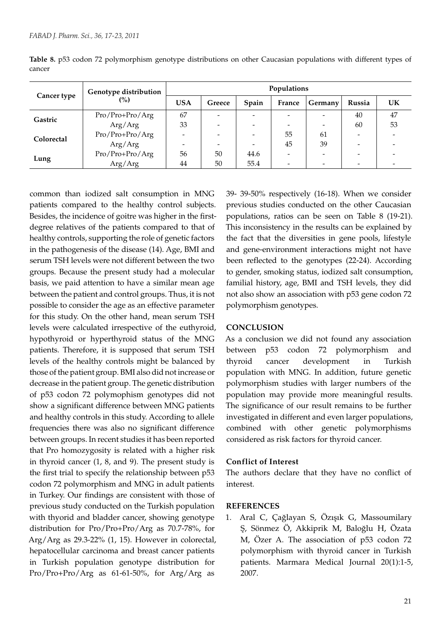|             | Genotype distribution | Populations |        |       |                          |                          |        |           |
|-------------|-----------------------|-------------|--------|-------|--------------------------|--------------------------|--------|-----------|
| Cancer type | $\binom{0}{0}$        | <b>USA</b>  | Greece | Spain | France                   | Germany                  | Russia | <b>UK</b> |
| Gastric     | Pro/Pro+Pro/Arg       | 67          | -      |       | $\overline{\phantom{0}}$ | $\overline{\phantom{a}}$ | 40     | 47        |
|             | Arg/Arg               | 33          | -      |       | $\overline{\phantom{a}}$ | $\overline{\phantom{0}}$ | 60     | 53        |
| Colorectal  | Pro/Pro+Pro/Arg       |             |        |       | 55                       | 61                       |        |           |
|             | Arg/Arg               |             |        |       | 45                       | 39                       |        |           |
|             | Pro/Pro+Pro/Arg       | 56          | 50     | 44.6  | -                        |                          |        |           |
| Lung        | Arg/Arg               | 44          | 50     | 55.4  | $\overline{\phantom{0}}$ |                          |        |           |

**Table 8.** p53 codon 72 polymorphism genotype distributions on other Caucasian populations with different types of cancer

common than iodized salt consumption in MNG patients compared to the healthy control subjects. Besides, the incidence of goitre was higher in the firstdegree relatives of the patients compared to that of healthy controls, supporting the role of genetic factors in the pathogenesis of the disease (14). Age, BMI and serum TSH levels were not different between the two groups. Because the present study had a molecular basis, we paid attention to have a similar mean age between the patient and control groups. Thus, it is not possible to consider the age as an effective parameter for this study. On the other hand, mean serum TSH levels were calculated irrespective of the euthyroid, hypothyroid or hyperthyroid status of the MNG patients. Therefore, it is supposed that serum TSH levels of the healthy controls might be balanced by those of the patient group. BMI also did not increase or decrease in the patient group. The genetic distribution of p53 codon 72 polymophism genotypes did not show a significant difference between MNG patients and healthy controls in this study. According to allele frequencies there was also no significant difference between groups. In recent studies it has been reported that Pro homozygosity is related with a higher risk in thyroid cancer (1, 8, and 9). The present study is the first trial to specify the relationship between p53 codon 72 polymorphism and MNG in adult patients in Turkey. Our findings are consistent with those of previous study conducted on the Turkish population with thyorid and bladder cancer, showing genotype distribution for Pro/Pro+Pro/Arg as 70.7-78%, for Arg/Arg as 29.3-22% (1, 15). However in colorectal, hepatocellular carcinoma and breast cancer patients in Turkish population genotype distribution for Pro/Pro+Pro/Arg as 61-61-50%, for Arg/Arg as

39- 39-50% respectively (16-18). When we consider previous studies conducted on the other Caucasian populations, ratios can be seen on Table 8 (19-21). This inconsistency in the results can be explained by the fact that the diversities in gene pools, lifestyle and gene-environment interactions might not have been reflected to the genotypes (22-24). According to gender, smoking status, iodized salt consumption, familial history, age, BMI and TSH levels, they did not also show an association with p53 gene codon 72 polymorphism genotypes.

#### **CONCLUSION**

As a conclusion we did not found any association between p53 codon 72 polymorphism and thyroid cancer development in Turkish population with MNG. In addition, future genetic polymorphism studies with larger numbers of the population may provide more meaningful results. The significance of our result remains to be further investigated in different and even larger populations, combined with other genetic polymorphisms considered as risk factors for thyroid cancer.

#### **Conflict of Interest**

The authors declare that they have no conflict of interest.

#### **REFERENCES**

1. Aral C, Çağlayan S, Özışık G, Massoumilary Ş, Sönmez Ö, Akkiprik M, Baloğlu H, Özata M, Özer A. The association of p53 codon 72 polymorphism with thyroid cancer in Turkish patients. Marmara Medical Journal 20(1):1-5, 2007.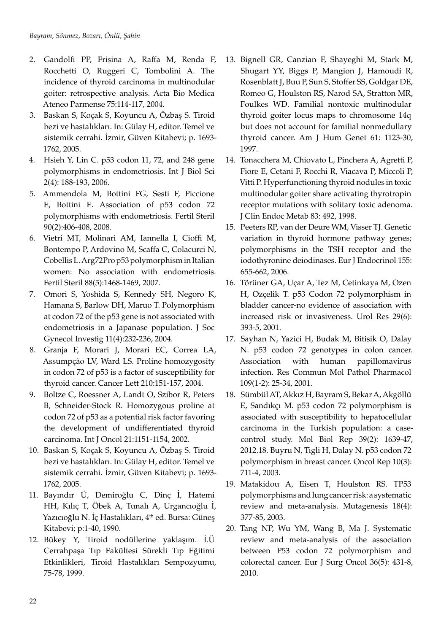- 2. Gandolfi PP, Frisina A, Raffa M, Renda F, Rocchetti O, Ruggeri C, Tombolini A. The incidence of thyroid carcinoma in multinodular goiter: retrospective analysis. Acta Bio Medica Ateneo Parmense 75:114-117, 2004.
- 3. Baskan S, Koçak S, Koyuncu A, Özbaş S. Tiroid bezi ve hastalıkları. In: Gülay H, editor. Temel ve sistemik cerrahi. İzmir, Güven Kitabevi; p. 1693- 1762, 2005.
- 4. Hsieh Y, Lin C. p53 codon 11, 72, and 248 gene polymorphisms in endometriosis. Int J Biol Sci 2(4): 188-193, 2006.
- 5. Ammendola M, Bottini FG, Sesti F, Piccione E, Bottini E. Association of p53 codon 72 polymorphisms with endometriosis. Fertil Steril 90(2):406-408, 2008.
- 6. Vietri MT, Molinari AM, Iannella I, Cioffi M, Bontempo P, Ardovino M, Scaffa C, Colacurci N, Cobellis L. Arg72Pro p53 polymorphism in Italian women: No association with endometriosis. Fertil Steril 88(5):1468-1469, 2007.
- 7. Omori S, Yoshida S, Kennedy SH, Negoro K, Hamana S, Barlow DH, Maruo T. Polymorphism at codon 72 of the p53 gene is not associated with endometriosis in a Japanase population. J Soc Gynecol Investig 11(4):232-236, 2004.
- 8. Granja F, Morari J, Morari EC, Correa LA, Assumpção LV, Ward LS. Proline homozygosity in codon 72 of p53 is a factor of susceptibility for thyroid cancer. Cancer Lett 210:151-157, 2004.
- 9. Boltze C, Roessner A, Landt O, Szibor R, Peters B, Schneider-Stock R. Homozygous proline at codon 72 of p53 as a potential risk factor favoring the development of undifferentiated thyroid carcinoma. Int J Oncol 21:1151-1154, 2002.
- 10. Baskan S, Koçak S, Koyuncu A, Özbaş S. Tiroid bezi ve hastalıkları. In: Gülay H, editor. Temel ve sistemik cerrahi. İzmir, Güven Kitabevi; p. 1693- 1762, 2005.
- 11. Bayındır Ü, Demiroğlu C, Dinç İ, Hatemi HH, Kılıç T, Öbek A, Tunalı A, Urgancıoğlu İ, Yazıcıoğlu N. İç Hastalıkları, 4<sup>th</sup> ed. Bursa: Güneş Kitabevi; p:1-40, 1990.
- 12. Bükey Y, Tiroid nodüllerine yaklaşım. İ.Ü Cerrahpaşa Tıp Fakültesi Sürekli Tıp Eğitimi Etkinlikleri, Tiroid Hastalıkları Sempozyumu, 75-78, 1999.
- 13. Bignell GR, Canzian F, Shayeghi M, Stark M, Shugart YY, Biggs P, Mangion J, Hamoudi R, Rosenblatt J, Buu P, Sun S, Stoffer SS, Goldgar DE, Romeo G, Houlston RS, Narod SA, Stratton MR, Foulkes WD. Familial nontoxic multinodular thyroid goiter locus maps to chromosome 14q but does not account for familial nonmedullary thyroid cancer. Am J Hum Genet 61: 1123-30, 1997.
- 14. Tonacchera M, Chiovato L, Pinchera A, Agretti P, Fiore E, Cetani F, Rocchi R, Viacava P, Miccoli P, Vitti P. Hyperfunctioning thyroid nodules in toxic multinodular goiter share activating thyrotropin receptor mutations with solitary toxic adenoma. J Clin Endoc Metab 83: 492, 1998.
- 15. Peeters RP, van der Deure WM, Visser TJ. Genetic variation in thyroid hormone pathway genes; polymorphisms in the TSH receptor and the iodothyronine deiodinases. Eur J Endocrinol 155: 655-662, 2006.
- 16. Törüner GA, Uçar A, Tez M, Cetinkaya M, Ozen H, Ozçelik T. p53 Codon 72 polymorphism in bladder cancer-no evidence of association with increased risk or invasiveness. Urol Res 29(6): 393-5, 2001.
- 17. Sayhan N, Yazici H, Budak M, Bitisik O, Dalay N. p53 codon 72 genotypes in colon cancer. Association with human papillomavirus infection. Res Commun Mol Pathol Pharmacol 109(1-2): 25-34, 2001.
- 18. Sümbül AT, Akkız H, Bayram S, Bekar A, Akgöllü E, Sandıkçı M. p53 codon 72 polymorphism is associated with susceptibility to hepatocellular carcinoma in the Turkish population: a casecontrol study. Mol Biol Rep 39(2): 1639-47, 2012.18. Buyru N, Tigli H, Dalay N. p53 codon 72 polymorphism in breast cancer. Oncol Rep 10(3): 711-4, 2003.
- 19. Matakidou A, Eisen T, Houlston RS. TP53 polymorphisms and lung cancer risk: a systematic review and meta‐analysis. Mutagenesis 18(4): 377-85, 2003.
- 20. Tang NP, Wu YM, Wang B, Ma J. Systematic review and meta-analysis of the association between P53 codon 72 polymorphism and colorectal cancer. Eur J Surg Oncol 36(5): 431-8, 2010.